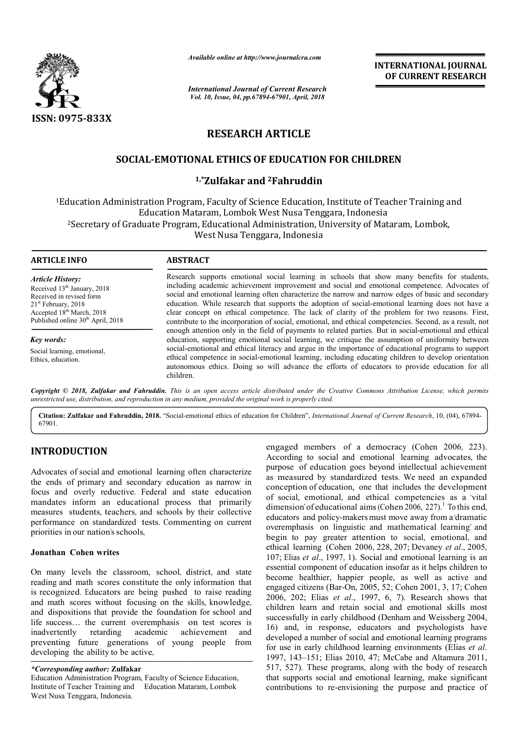

*Available online at http://www.journalcra.com*

*International Journal of Current Research Vol. 10, Issue, 04, pp.67894-67901, April, 2018*

**INTERNATIONAL JOURNAL OF CURRENT RESEARCH**

# **RESEARCH ARTICLE**

# **SOCIAL-EMOTIONAL ETHICS OF EDUCATION FOR CHILDREN EMOTIONAL 1,\*Zulfakar and 2Fahruddin EMOTIONAL ETHICS**

1Education Administration Program Program, Faculty of Science Education, Institute of Teacher Training and Education Mataram, Lombok West Nusa Tenggara, Indonesia lucation Administration Program, Faculty of Science Education, Institute of Teacher Training a<br>Education Mataram, Lombok West Nusa Tenggara, Indonesia<br>Secretary of Graduate Program, Educational Administration, University o West Nusa Tenggara, Indonesia

| <b>ARTICLE INFO</b>                                                                                                                                                                                               | <b>ABSTRACT</b>                                                                                                                                                                                                                                                                                                                                                                                                                                                                                                                                                                                                                                                                                                                                                                                                                                                                                                                                                                                                                                                                                                                                                       |
|-------------------------------------------------------------------------------------------------------------------------------------------------------------------------------------------------------------------|-----------------------------------------------------------------------------------------------------------------------------------------------------------------------------------------------------------------------------------------------------------------------------------------------------------------------------------------------------------------------------------------------------------------------------------------------------------------------------------------------------------------------------------------------------------------------------------------------------------------------------------------------------------------------------------------------------------------------------------------------------------------------------------------------------------------------------------------------------------------------------------------------------------------------------------------------------------------------------------------------------------------------------------------------------------------------------------------------------------------------------------------------------------------------|
| <b>Article History:</b><br>Received 13 <sup>th</sup> January, 2018<br>Received in revised form<br>$21st$ February, 2018<br>Accepted 18 <sup>th</sup> March, 2018<br>Published online 30 <sup>th</sup> April, 2018 | Research supports emotional social learning in schools that show many benefits for students,<br>including academic achievement improvement and social and emotional competence. Advocates of<br>social and emotional learning often characterize the narrow and narrow edges of basic and secondary<br>education. While research that supports the adoption of social-emotional learning does not have a<br>clear concept on ethical competence. The lack of clarity of the problem for two reasons. First,<br>contribute to the incorporation of social, emotional, and ethical competencies. Second, as a result, not<br>enough attention only in the field of payments to related parties. But in social-emotional and ethical<br>education, supporting emotional social learning, we critique the assumption of uniformity between<br>social-emotional and ethical literacy and argue in the importance of educational programs to support<br>ethical competence in social-emotional learning, including educating children to develop orientation<br>autonomous ethics. Doing so will advance the efforts of educators to provide education for all<br>children. |
| Key words:                                                                                                                                                                                                        |                                                                                                                                                                                                                                                                                                                                                                                                                                                                                                                                                                                                                                                                                                                                                                                                                                                                                                                                                                                                                                                                                                                                                                       |
| Social learning, emotional,<br>Ethics, education.                                                                                                                                                                 |                                                                                                                                                                                                                                                                                                                                                                                                                                                                                                                                                                                                                                                                                                                                                                                                                                                                                                                                                                                                                                                                                                                                                                       |

Copyright © 2018, Zulfakar and Fahruddin. This is an open access article distributed under the Creative Commons Attribution License, which permits *unrestricted use, distribution, and reproduction in any medium, provided the original work is properly cited.*

Citation: Zulfakar and Fahruddin, 2018. "Social-emotional ethics of education for Children", *International Journal of Current Research*, 10, (04), 67894-67901.

## **INTRODUCTION**

Advocates of social and emotional learning often characterize the ends of primary and secondary education as narrow in focus and overly reductive. Federal and state education mandates inform an educational process that primarily measures students, teachers, and schools b by their collective performance on standardized tests. Commenting on current priorities in our nation's schools,

#### **Jonathan Cohen writes**

On many levels the classroom, school, district, and state reading and math scores constitute the only information that is recognized. Educators are being pushed to raise reading and math scores without focusing on the skills, knowledge, and dispositions that provide the foundation for school and life success… the current overemphasis on test scores is inadvertently retarding academic preventing future generations of young people from developing the ability to be active, achievement and

*\*Corresponding author:* **Zulfakar** Education Administration Program, Faculty of Science Education, Institute of Teacher Training and Education Mataram, Lombok West Nusa Tenggara, Indonesia.

engaged members of a democracy (Cohen 2006, 223). According to social and emotional learning advocates, the purpose of education goes be beyond intellectual achievement as measured by standardized tests. We need an expanded conception of education, one that includes the development of social, emotional, and ethical competencies as a 'vital dimension' of educational aims (Cohen 2006, 227).<sup>1</sup> To this end, educators and policy-makers must move away from a dramatic overemphasis on linguistic and mathematical learning' and begin to pay greater attention to social, emotional, and ethical learning (Cohen 2006, 228, 207; Devaney *et al.*, 2005, 107; Elias *et al*., 1997, 1). Social and emotional learning is an essential component of education insofar as it helps children to become healthier, happier people, as well as active and engaged citizens (Bar-On, 2005, 52; Cohen 2001, 3, 17; Cohen 2006, 202; Elias *et al*., 1997, 6, 7). children learn and retain social and emotional skills most children learn and retain social and emotional skills most successfully in early childhood (Denham and Weissberg 2004, 16) and, in response, educators and psychologists have developed a number of social and emotional learning programs for use in early childhood learning environments (Elias et al. 1997, 143–151; Elias 2010, 47; McCabe and Altamura 2011, 517, 527). These programs, along with the body of research that supports social and emotional learning, make significant contributions to re-envisioning the purpose and practice of 107; Elias *et al.*, 1997, 1). Social and emotional learning is an essential component of education insofar as it helps children to become healthier, happier people, as well as active and engaged citizens (Bar-On, 2005, 5 (6) and, in response, educators and psychologists have leveloped a number of social and emotional learning programs or use in early childhood learning environments (Elias *et al.*) **INTERNATTIONAL JOURNAL (OF CURRENT RESEARCH COMPART (CONTROL) and CONTROL (EXPLAINED PROPART) and The research supports and a second the research supports in the results of the research supports and the research supports**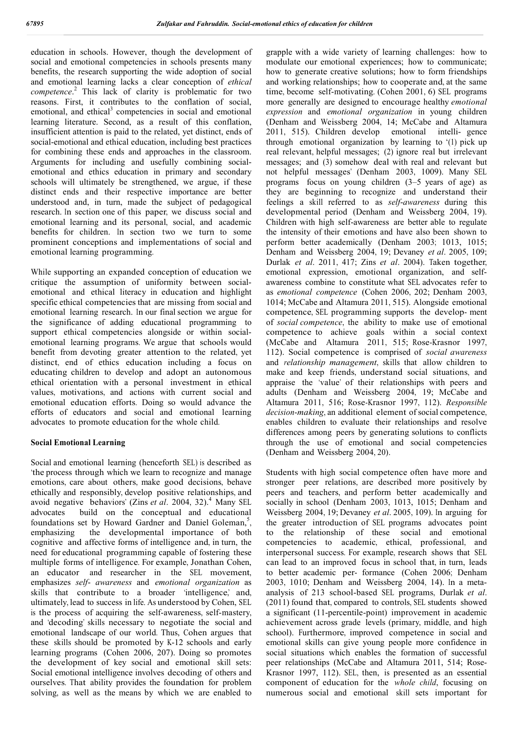education in schools. However, though the development of social and emotional competencies in schools presents many benefits, the research supporting the wide adoption of social and emotional learning lacks a clear conception of *ethical competence*. <sup>2</sup> This lack of clarity is problematic for two reasons. First, it contributes to the conflation of social, emotional, and ethical<sup>3</sup> competencies in social and emotional learning literature. Second, as a result of this conflation, insufficient attention is paid to the related, yet distinct, ends of social-emotional and ethical education, including best practices for combining these ends and approaches in the classroom. Arguments for including and usefully combining socialemotional and ethics education in primary and secondary schools will ultimately be strengthened, we argue, if these distinct ends and their respective importance are better understood and, in turn, made the subject of pedagogical research. In section one of this paper, we discuss social and emotional learning and its personal, social, and academic benefits for children. In section two we turn to some prominent conceptions and implementations of social and emotional learning programming.

While supporting an expanded conception of education we critique the assumption of uniformity between socialemotional and ethical literacy in education and highlight specific ethical competencies that are missing from social and emotional learning research. In our final section we argue for the significance of adding educational programming to support ethical competencies alongside or within socialemotional learning programs. We argue that schools would benefit from devoting greater attention to the related, yet distinct, end of ethics education including a focus on educating children to develop and adopt an autonomous ethical orientation with a personal investment in ethical values, motivations, and actions with current social and emotional education efforts. Doing so would advance the efforts of educators and social and emotional learning advocates to promote education for the whole child.

#### **Social Emotional Learning**

Social and emotional learning (henceforth SEL) is described as 'the process through which we learn to recognize and manage emotions, care about others, make good decisions, behave ethically and responsibly, develop positive relationships, and avoid negative behaviors' (Zins et al. 2004, 32).<sup>4</sup> Many SEL advocates build on the conceptual and educational foundations set by Howard Gardner and Daniel Goleman,<sup>5</sup>, emphasizing the developmental importance of both cognitive and affective forms of intelligence and, in turn, the need for educational programming capable of fostering these multiple forms of intelligence. For example, Jonathan Cohen, an educator and researcher in the SEL movement, emphasizes *self*- *awareness* and *emotional organization* as skills that contribute to a broader 'intelligence,' and, ultimately, lead to success in life. As understood by Cohen, SEL is the process of acquiring the self-awareness, self-mastery, and 'decoding' skills necessary to negotiate the social and emotional landscape of our world. Thus, Cohen argues that these skills should be promoted by K-12 schools and early learning programs (Cohen 2006, 207). Doing so promotes the development of key social and emotional skill sets: Social emotional intelligence involves decoding of others and ourselves. That ability provides the foundation for problem solving, as well as the means by which we are enabled to

grapple with a wide variety of learning challenges: how to modulate our emotional experiences; how to communicate; how to generate creative solutions; how to form friendships and working relationships; how to cooperate and, at the same time, become self-motivating. (Cohen 2001, 6) SEL programs more generally are designed to encourage healthy *emotional expression* and *emotional organization* in young children (Denham and Weissberg 2004, 14; McCabe and Altamura 2011, 515). Children develop emotional intelli- gence through emotional organization by learning to '(1) pick up real relevant, helpful messages; (2) ignore real but irrelevant messages; and (3) somehow deal with real and relevant but not helpful messages' (Denham 2003, 1009). Many SEL programs focus on young children (3–5 years of age) as they are beginning to recognize and understand their feelings a skill referred to as *self*-*awareness* during this developmental period (Denham and Weissberg 2004, 19). Children with high self-awareness are better able to regulate the intensity of their emotions and have also been shown to perform better academically (Denham 2003; 1013, 1015; Denham and Weissberg 2004, 19; Devaney *et al*. 2005, 109; Durlak *et al*. 2011, 417; Zins *et al*. 2004). Taken together, emotional expression, emotional organization, and selfawareness combine to constitute what SEL advocates refer to as *emotional competence* (Cohen 2006, 202; Denham 2003, 1014; McCabe and Altamura 2011, 515). Alongside emotional competence, SEL programming supports the develop- ment of *social competence*, the ability to make use of emotional competence to achieve goals within a social context (McCabe and Altamura 2011, 515; Rose-Krasnor 1997, 112). Social competence is comprised of *social awareness*  and *relationship management*, skills that allow children to make and keep friends, understand social situations, and appraise the 'value' of their relationships with peers and adults (Denham and Weissberg 2004, 19; McCabe and Altamura 2011, 516; Rose-Krasnor 1997, 112). *Responsible decision*-*making*, an additional element of social competence, enables children to evaluate their relationships and resolve differences among peers by generating solutions to conflicts through the use of emotional and social competencies (Denham and Weissberg 2004, 20).

Students with high social competence often have more and stronger peer relations, are described more positively by peers and teachers, and perform better academically and socially in school (Denham 2003, 1013, 1015; Denham and Weissberg 2004, 19; Devaney *et al*. 2005, 109). In arguing for the greater introduction of SEL programs advocates point to the relationship of these social and emotional competencies to academic, ethical, professional, and interpersonal success. For example, research shows that SEL can lead to an improved focus in school that, in turn, leads to better academic per- formance (Cohen 2006; Denham 2003, 1010; Denham and Weissberg 2004, 14). In a metaanalysis of 213 school-based SEL programs, Durlak *et al*. (2011) found that, compared to controls, SEL students showed a significant (11-percentile-point) improvement in academic achievement across grade levels (primary, middle, and high school). Furthermore, improved competence in social and emotional skills can give young people more confidence in social situations which enables the formation of successful peer relationships (McCabe and Altamura 2011, 514; Rose-Krasnor 1997, 112). SEL, then, is presented as an essential component of education for the *whole child*, focusing on numerous social and emotional skill sets important for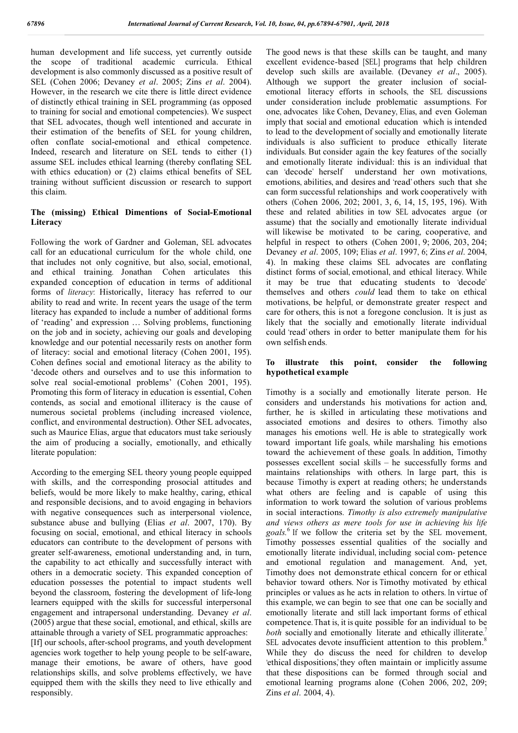human development and life success, yet currently outside the scope of traditional academic curricula. Ethical development is also commonly discussed as a positive result of SEL (Cohen 2006; Devaney *et al*. 2005; Zins *et al*. 2004). However, in the research we cite there is little direct evidence of distinctly ethical training in SEL programming (as opposed to training for social and emotional competencies). We suspect that SEL advocates, though well intentioned and accurate in their estimation of the benefits of SEL for young children, often conflate social-emotional and ethical competence. Indeed, research and literature on SEL tends to either (1) assume SEL includes ethical learning (thereby conflating SEL with ethics education) or (2) claims ethical benefits of SEL training without sufficient discussion or research to support this claim.

#### **The (missing) Ethical Dimentions of Social-Emotional Literacy**

Following the work of Gardner and Goleman, SEL advocates call for an educational curriculum for the whole child, one that includes not only cognitive, but also, social, emotional, and ethical training. Jonathan Cohen articulates this expanded conception of education in terms of additional forms of *literacy*: Historically, literacy has referred to our ability to read and write. In recent years the usage of the term literacy has expanded to include a number of additional forms of 'reading' and expression … Solving problems, functioning on the job and in society, achieving our goals and developing knowledge and our potential necessarily rests on another form of literacy: social and emotional literacy (Cohen 2001, 195). Cohen defines social and emotional literacy as the ability to 'decode others and ourselves and to use this information to solve real social-emotional problems' (Cohen 2001, 195). Promoting this form of literacy in education is essential, Cohen contends, as social and emotional illiteracy is the cause of numerous societal problems (including increased violence, conflict, and environmental destruction). Other SEL advocates, such as Maurice Elias, argue that educators must take seriously the aim of producing a socially, emotionally, and ethically literate population:

According to the emerging SEL theory young people equipped with skills, and the corresponding prosocial attitudes and beliefs, would be more likely to make healthy, caring, ethical and responsible decisions, and to avoid engaging in behaviors with negative consequences such as interpersonal violence, substance abuse and bullying (Elias *et al*. 2007, 170). By focusing on social, emotional, and ethical literacy in schools educators can contribute to the development of persons with greater self-awareness, emotional understanding and, in turn, the capability to act ethically and successfully interact with others in a democratic society. This expanded conception of education possesses the potential to impact students well beyond the classroom, fostering the development of life-long learners equipped with the skills for successful interpersonal engagement and intrapersonal understanding. Devaney *et al*. (2005) argue that these social, emotional, and ethical, skills are attainable through a variety of SEL programmatic approaches: [If] our schools, after-school programs, and youth development agencies work together to help young people to be self-aware, manage their emotions, be aware of others, have good relationships skills, and solve problems effectively, we have equipped them with the skills they need to live ethically and responsibly.

The good news is that these skills can be taught, and many excellent evidence-based [SEL] programs that help children develop such skills are available. (Devaney *et al*., 2005). Although we support the greater inclusion of socialemotional literacy efforts in schools, the SEL discussions under consideration include problematic assumptions. For one, advocates like Cohen, Devaney, Elias, and even Goleman imply that social and emotional education which is intended to lead to the development of socially and emotionally literate individuals is also sufficient to produce ethically literate individuals. But consider again the key features of the socially and emotionally literate individual: this is an individual that can 'decode' herself understand her own motivations, emotions, abilities, and desires and 'read' others such that she can form successful relationships and work cooperatively with others (Cohen 2006, 202; 2001, 3, 6, 14, 15, 195, 196). With these and related abilities in tow SEL advocates argue (or assume) that the socially and emotionally literate individual will likewise be motivated to be caring, cooperative, and helpful in respect to others (Cohen 2001, 9; 2006, 203, 204; Devaney *et al*. 2005, 109; Elias *et al*. 1997, 6; Zins *et al*. 2004, 4). In making these claims SEL advocates are conflating distinct forms of social, emotional, and ethical literacy. While it may be true that educating students to 'decode' themselves and others *could* lead them to take on ethical motivations, be helpful, or demonstrate greater respect and care for others, this is not a foregone conclusion. It is just as likely that the socially and emotionally literate individual could 'read' others in order to better manipulate them for his own selfish ends.

#### **To illustrate this point, consider the following hypothetical example**

Timothy is a socially and emotionally literate person. He considers and understands his motivations for action and, further, he is skilled in articulating these motivations and associated emotions and desires to others. Timothy also manages his emotions well. He is able to strategically work toward important life goals, while marshaling his emotions toward the achievement of these goals. In addition, Timothy possesses excellent social skills – he successfully forms and maintains relationships with others. In large part, this is because Timothy is expert at reading others; he understands what others are feeling and is capable of using this information to work toward the solution of various problems in social interactions. *Timothy is also extremely manipulative and views others as mere tools for use in achieving his life goals.* <sup>6</sup> If we follow the criteria set by the SEL movement, Timothy possesses essential qualities of the socially and emotionally literate individual, including social com- petence and emotional regulation and management. And, yet, Timothy does not demonstrate ethical concern for or ethical behavior toward others. Nor is Timothy motivated by ethical principles or values as he acts in relation to others. In virtue of this example, we can begin to see that one can be socially and emotionally literate and still lack important forms of ethical competence. That is, it is quite possible for an individual to be both socially and emotionally literate and ethically illiterate.<sup>7</sup> SEL advocates devote insufficient attention to this problem.<sup>8</sup> While they do discuss the need for children to develop 'ethical dispositions,' they often maintain or implicitly assume that these dispositions can be formed through social and emotional learning programs alone (Cohen 2006, 202, 209; Zins *et al*. 2004, 4).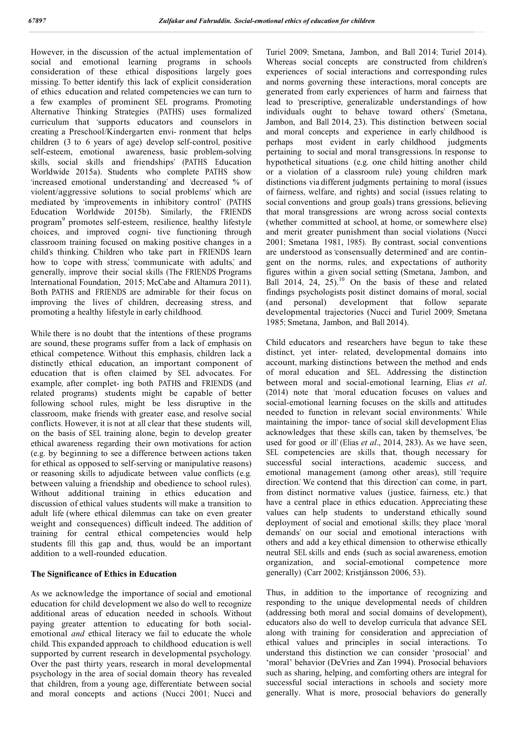However, in the discussion of the actual implementation of social and emotional learning programs in schools consideration of these ethical dispositions largely goes missing. To better identify this lack of explicit consideration of ethics education and related competencies we can turn to a few examples of prominent SEL programs. Promoting Alternative Thinking Strategies (PATHS) uses formalized curriculum that 'supports educators and counselors in creating a Preschool/Kindergarten envi- ronment that helps children (3 to 6 years of age) develop self-control, positive self-esteem, emotional awareness, basic problem-solving skills, social skills and friendships' (PATHS Education Worldwide 2015a). Students who complete PATHS show 'increased emotional understanding' and 'decreased % of violent/aggressive solutions to social problems' which are mediated by 'improvements in inhibitory control' (PATHS Education Worldwide 2015b). Similarly, the FRIENDS program<sup>9</sup> promotes self-esteem, resilience, healthy lifestyle choices, and improved cogni- tive functioning through classroom training focused on making positive changes in a child's thinking. Children who take part in FRIENDS learn how to 'cope with stress,' 'communicate with adults,' and generally, improve their social skills (The FRIENDS Programs International Foundation, 2015; McCabe and Altamura 2011). Both PATHS and FRIENDS are admirable for their focus on improving the lives of children, decreasing stress, and promoting a healthy lifestyle in early childhood.

While there is no doubt that the intentions of these programs are sound, these programs suffer from a lack of emphasis on ethical competence. Without this emphasis, children lack a distinctly ethical education, an important component of education that is often claimed by SEL advocates. For example, after complet- ing both PATHS and FRIENDS (and related programs) students might be capable of better following school rules, might be less disruptive in the classroom, make friends with greater ease, and resolve social conflicts. However, it is not at all clear that these students will, on the basis of SEL training alone, begin to develop greater ethical awareness regarding their own motivations for action (e.g. by beginning to see a difference between actions taken for ethical as opposed to self-serving or manipulative reasons) or reasoning skills to adjudicate between value conflicts (e.g. between valuing a friendship and obedience to school rules). Without additional training in ethics education and discussion of ethical values students will make a transition to adult life (where ethical dilemmas can take on even greater weight and consequences) difficult indeed. The addition of training for central ethical competencies would help students fill this gap and, thus, would be an important addition to a well-rounded education.

#### **The Significance of Ethics in Education**

As we acknowledge the importance of social and emotional education for child development we also do well to recognize additional areas of education needed in schools. Without paying greater attention to educating for both socialemotional *and* ethical literacy we fail to educate the whole child. This expanded approach to childhood education is well supported by current research in developmental psychology. Over the past thirty years, research in moral developmental psychology in the area of social domain theory has revealed that children, from a young age, differentiate between social and moral concepts and actions (Nucci 2001; Nucci and

Turiel 2009; Smetana, Jambon, and Ball 2014; Turiel 2014). Whereas social concepts are constructed from children's experiences of social interactions and corresponding rules and norms governing these interactions, moral concepts are generated from early experiences of harm and fairness that lead to 'prescriptive, generalizable understandings of how individuals ought to behave toward others' (Smetana, Jambon, and Ball 2014, 23). This distinction between social and moral concepts and experience in early childhood is perhaps most evident in early childhood judgments pertaining to social and moral transgressions. In response to hypothetical situations (e.g. one child hitting another child or a violation of a classroom rule) young children mark distinctions via different judgments pertaining to moral (issues of fairness, welfare, and rights) and social (issues relating to social conventions and group goals) trans gressions, believing that moral transgressions are wrong across social contexts (whether committed at school, at home, or somewhere else) and merit greater punishment than social violations (Nucci 2001; Smetana 1981, 1985). By contrast, social conventions are understood as 'consensually determined' and are contingent on the norms, rules, and expectations of authority figures within a given social setting (Smetana, Jambon, and Ball 2014, 24,  $25$ ).<sup>10</sup> On the basis of these and related findings psychologists posit distinct domains of moral, social (and personal) development that follow separate developmental trajectories (Nucci and Turiel 2009; Smetana 1985; Smetana, Jambon, and Ball 2014).

Child educators and researchers have begun to take these distinct, yet inter- related, developmental domains into account, marking distinctions between the method and ends of moral education and SEL. Addressing the distinction between moral and social-emotional learning, Elias *et al*. (2014) note that 'moral education focuses on values and social-emotional learning focuses on the skills and attitudes needed to function in relevant social environments.' While maintaining the impor- tance of social skill development Elias acknowledges that these skills can, taken by themselves, 'be used for good or ill' (Elias *et al*., 2014, 283). As we have seen, SEL competencies are skills that, though necessary for successful social interactions, academic success, and emotional management (among other areas), still 'require direction.' We contend that this 'direction' can come, in part, from distinct normative values (justice, fairness, etc.) that have a central place in ethics education. Appreciating these values can help students to understand ethically sound deployment of social and emotional skills; they place 'moral demands' on our social and emotional interactions with others and add a key ethical dimension to otherwise ethically neutral SEL skills and ends (such as social awareness, emotion organization, and social-emotional competence more generally) (Carr 2002; Kristjánsson 2006, 53).

Thus, in addition to the importance of recognizing and responding to the unique developmental needs of children (addressing both moral and social domains of development), educators also do well to develop curricula that advance SEL along with training for consideration and appreciation of ethical values and principles in social interactions. To understand this distinction we can consider 'prosocial' and 'moral' behavior (DeVries and Zan 1994). Prosocial behaviors such as sharing, helping, and comforting others are integral for successful social interactions in schools and society more generally. What is more, prosocial behaviors do generally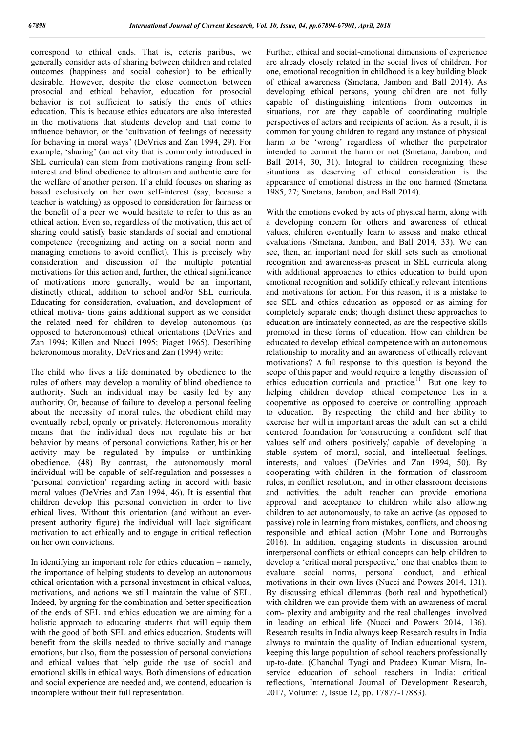correspond to ethical ends. That is, ceteris paribus, we generally consider acts of sharing between children and related outcomes (happiness and social cohesion) to be ethically desirable. However, despite the close connection between prosocial and ethical behavior, education for prosocial behavior is not sufficient to satisfy the ends of ethics education. This is because ethics educators are also interested in the motivations that students develop and that come to influence behavior, or the 'cultivation of feelings of necessity for behaving in moral ways' (DeVries and Zan 1994, 29). For example, 'sharing' (an activity that is commonly introduced in SEL curricula) can stem from motivations ranging from selfinterest and blind obedience to altruism and authentic care for the welfare of another person. If a child focuses on sharing as based exclusively on her own self-interest (say, because a teacher is watching) as opposed to consideration for fairness or the benefit of a peer we would hesitate to refer to this as an ethical action. Even so, regardless of the motivation, this act of sharing could satisfy basic standards of social and emotional competence (recognizing and acting on a social norm and managing emotions to avoid conflict). This is precisely why consideration and discussion of the multiple potential motivations for this action and, further, the ethical significance of motivations more generally, would be an important, distinctly ethical, addition to school and/or SEL curricula. Educating for consideration, evaluation, and development of ethical motiva- tions gains additional support as we consider the related need for children to develop autonomous (as opposed to heteronomous) ethical orientations (DeVries and Zan 1994; Killen and Nucci 1995; Piaget 1965). Describing heteronomous morality, DeVries and Zan (1994) write:

The child who lives a life dominated by obedience to the rules of others may develop a morality of blind obedience to authority. Such an individual may be easily led by any authority. Or, because of failure to develop a personal feeling about the necessity of moral rules, the obedient child may eventually rebel, openly or privately. Heteronomous morality means that the individual does not regulate his or her behavior by means of personal convictions. Rather, his or her activity may be regulated by impulse or unthinking obedience. (48) By contrast, the autonomously moral individual will be capable of self-regulation and possesses a 'personal conviction' regarding acting in accord with basic moral values (DeVries and Zan 1994, 46). It is essential that children develop this personal conviction in order to live ethical lives. Without this orientation (and without an everpresent authority figure) the individual will lack significant motivation to act ethically and to engage in critical reflection on her own convictions.

In identifying an important role for ethics education – namely, the importance of helping students to develop an autonomous ethical orientation with a personal investment in ethical values, motivations, and actions we still maintain the value of SEL. Indeed, by arguing for the combination and better specification of the ends of SEL and ethics education we are aiming for a holistic approach to educating students that will equip them with the good of both SEL and ethics education. Students will benefit from the skills needed to thrive socially and manage emotions, but also, from the possession of personal convictions and ethical values that help guide the use of social and emotional skills in ethical ways. Both dimensions of education and social experience are needed and, we contend, education is incomplete without their full representation.

Further, ethical and social-emotional dimensions of experience are already closely related in the social lives of children. For one, emotional recognition in childhood is a key building block of ethical awareness (Smetana, Jambon and Ball 2014). As developing ethical persons, young children are not fully capable of distinguishing intentions from outcomes in situations, nor are they capable of coordinating multiple perspectives of actors and recipients of action. As a result, it is common for young children to regard any instance of physical harm to be 'wrong' regardless of whether the perpetrator intended to commit the harm or not (Smetana, Jambon, and Ball 2014, 30, 31). Integral to children recognizing these situations as deserving of ethical consideration is the appearance of emotional distress in the one harmed (Smetana 1985, 27; Smetana, Jambon, and Ball 2014).

With the emotions evoked by acts of physical harm, along with a developing concern for others and awareness of ethical values, children eventually learn to assess and make ethical evaluations (Smetana, Jambon, and Ball 2014, 33). We can see, then, an important need for skill sets such as emotional recognition and awareness-as present in SEL curricula along with additional approaches to ethics education to build upon emotional recognition and solidify ethically relevant intentions and motivations for action. For this reason, it is a mistake to see SEL and ethics education as opposed or as aiming for completely separate ends; though distinct these approaches to education are intimately connected, as are the respective skills promoted in these forms of education. How can children be educated to develop ethical competence with an autonomous relationship to morality and an awareness of ethically relevant motivations? A full response to this question is beyond the scope of this paper and would require a lengthy discussion of ethics education curricula and practice.<sup>11</sup> But one key to helping children develop ethical competence lies in a cooperative as opposed to coercive or controlling approach to education. By respecting the child and her ability to exercise her will in important areas the adult can set a child centered foundation for 'constructing a confident self that values self and others positively, capable of developing 'a stable system of moral, social, and intellectual feelings, interests, and values' (DeVries and Zan 1994, 50). By cooperating with children in the formation of classroom rules, in conflict resolution, and in other classroom decisions and activities, the adult teacher can provide emotiona approval and acceptance to children while also allowing children to act autonomously, to take an active (as opposed to passive) role in learning from mistakes, conflicts, and choosing responsible and ethical action (Mohr Lone and Burroughs 2016). In addition, engaging students in discussion around interpersonal conflicts or ethical concepts can help children to develop a 'critical moral perspective,' one that enables them to evaluate social norms, personal conduct, and ethical motivations in their own lives (Nucci and Powers 2014, 131). By discussing ethical dilemmas (both real and hypothetical) with children we can provide them with an awareness of moral com- plexity and ambiguity and the real challenges involved in leading an ethical life (Nucci and Powers 2014, 136). Research results in India always keep Research results in India always to maintain the quality of Indian educational system, keeping this large population of school teachers professionally up-to-date. (Chanchal Tyagi and Pradeep Kumar Misra, Inservice education of school teachers in India: critical reflections, International Journal of Development Research, 2017, Volume: 7, Issue 12, pp. 17877-17883).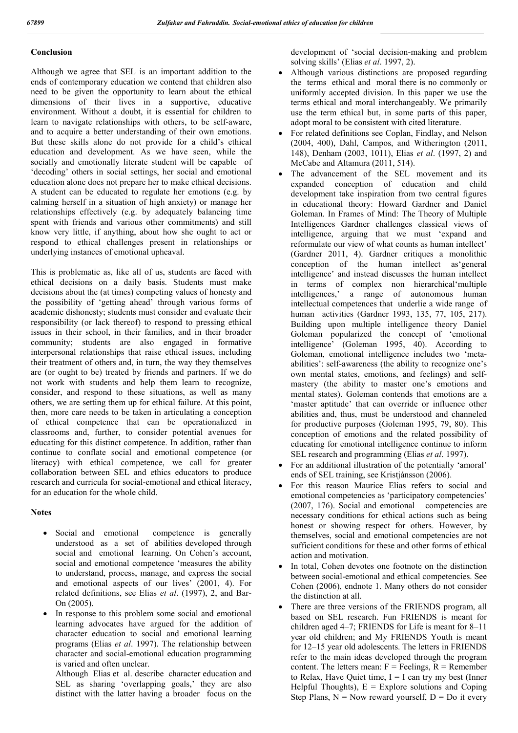#### **Conclusion**

Although we agree that SEL is an important addition to the ends of contemporary education we contend that children also need to be given the opportunity to learn about the ethical dimensions of their lives in a supportive, educative environment. Without a doubt, it is essential for children to learn to navigate relationships with others, to be self-aware, and to acquire a better understanding of their own emotions. But these skills alone do not provide for a child's ethical education and development. As we have seen, while the socially and emotionally literate student will be capable of 'decoding' others in social settings, her social and emotional education alone does not prepare her to make ethical decisions. A student can be educated to regulate her emotions (e.g. by calming herself in a situation of high anxiety) or manage her relationships effectively (e.g. by adequately balancing time spent with friends and various other commitments) and still know very little, if anything, about how she ought to act or respond to ethical challenges present in relationships or underlying instances of emotional upheaval.

This is problematic as, like all of us, students are faced with ethical decisions on a daily basis. Students must make decisions about the (at times) competing values of honesty and the possibility of 'getting ahead' through various forms of academic dishonesty; students must consider and evaluate their responsibility (or lack thereof) to respond to pressing ethical issues in their school, in their families, and in their broader community; students are also engaged in formative interpersonal relationships that raise ethical issues, including their treatment of others and, in turn, the way they themselves are (or ought to be) treated by friends and partners. If we do not work with students and help them learn to recognize, consider, and respond to these situations, as well as many others, we are setting them up for ethical failure. At this point, then, more care needs to be taken in articulating a conception of ethical competence that can be operationalized in classrooms and, further, to consider potential avenues for educating for this distinct competence. In addition, rather than continue to conflate social and emotional competence (or literacy) with ethical competence, we call for greater collaboration between SEL and ethics educators to produce research and curricula for social-emotional and ethical literacy, for an education for the whole child.

#### **Notes**

- Social and emotional competence is generally understood as a set of abilities developed through social and emotional learning. On Cohen's account, social and emotional competence 'measures the ability to understand, process, manage, and express the social and emotional aspects of our lives' (2001, 4). For related definitions, see Elias *et al*. (1997), 2, and Bar-On (2005).
- In response to this problem some social and emotional learning advocates have argued for the addition of character education to social and emotional learning programs (Elias *et al*. 1997). The relationship between character and social-emotional education programming is varied and often unclear.

Although Elias et al. describe character education and SEL as sharing 'overlapping goals,' they are also distinct with the latter having a broader focus on the development of 'social decision-making and problem solving skills' (Elias *et al*. 1997, 2).

- Although various distinctions are proposed regarding the terms ethical and moral there is no commonly or uniformly accepted division. In this paper we use the terms ethical and moral interchangeably. We primarily use the term ethical but, in some parts of this paper, adopt moral to be consistent with cited literature.
- For related definitions see Coplan, Findlay, and Nelson (2004, 400), Dahl, Campos, and Witherington (2011, 148), Denham (2003, 1011), Elias *et al*. (1997, 2) and McCabe and Altamura (2011, 514).
- The advancement of the SEL movement and its expanded conception of education and child development take inspiration from two central figures in educational theory: Howard Gardner and Daniel Goleman. In Frames of Mind: The Theory of Multiple Intelligences Gardner challenges classical views of intelligence, arguing that we must 'expand and reformulate our view of what counts as human intellect' (Gardner 2011, 4). Gardner critiques a monolithic conception of the human intellect as'general intelligence' and instead discusses the human intellect in terms of complex non hierarchical'multiple intelligences,' a range of autonomous human intellectual competences that underlie a wide range of human activities (Gardner 1993, 135, 77, 105, 217). Building upon multiple intelligence theory Daniel Goleman popularized the concept of 'emotional intelligence' (Goleman 1995, 40). According to Goleman, emotional intelligence includes two 'metaabilities': self-awareness (the ability to recognize one's own mental states, emotions, and feelings) and selfmastery (the ability to master one's emotions and mental states). Goleman contends that emotions are a 'master aptitude' that can override or influence other abilities and, thus, must be understood and channeled for productive purposes (Goleman 1995, 79, 80). This conception of emotions and the related possibility of educating for emotional intelligence continue to inform SEL research and programming (Elias *et al*. 1997).
- For an additional illustration of the potentially 'amoral' ends of SEL training, see Kristjánsson (2006).
- For this reason Maurice Elias refers to social and emotional competencies as 'participatory competencies' (2007, 176). Social and emotional competencies are necessary conditions for ethical actions such as being honest or showing respect for others. However, by themselves, social and emotional competencies are not sufficient conditions for these and other forms of ethical action and motivation.
- In total, Cohen devotes one footnote on the distinction between social-emotional and ethical competencies. See Cohen (2006), endnote 1. Many others do not consider the distinction at all.
- There are three versions of the FRIENDS program, all based on SEL research. Fun FRIENDS is meant for children aged 4–7; FRIENDS for Life is meant for 8–11 year old children; and My FRIENDS Youth is meant for 12–15 year old adolescents. The letters in FRIENDS refer to the main ideas developed through the program content. The letters mean:  $F = Feelings$ ,  $R = Remember$ to Relax, Have Quiet time,  $I = I$  can try my best (Inner Helpful Thoughts),  $E =$  Explore solutions and Coping Step Plans,  $N = Now$  reward yourself,  $D = Do$  it every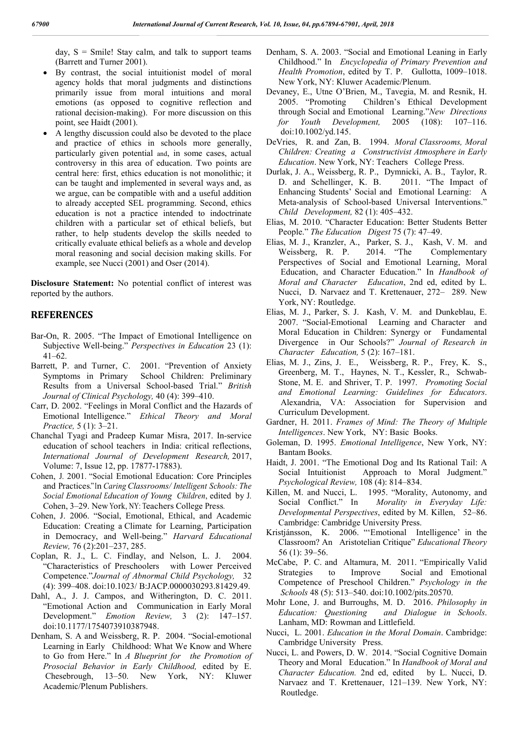day,  $S = S$ mile! Stay calm, and talk to support teams (Barrett and Turner 2001).

- By contrast, the social intuitionist model of moral agency holds that moral judgments and distinctions primarily issue from moral intuitions and moral emotions (as opposed to cognitive reflection and rational decision-making). For more discussion on this point, see Haidt (2001).
- A lengthy discussion could also be devoted to the place and practice of ethics in schools more generally, particularly given potential and, in some cases, actual controversy in this area of education. Two points are central here: first, ethics education is not monolithic; it can be taught and implemented in several ways and, as we argue, can be compatible with and a useful addition to already accepted SEL programming. Second, ethics education is not a practice intended to indoctrinate children with a particular set of ethical beliefs, but rather, to help students develop the skills needed to critically evaluate ethical beliefs as a whole and develop moral reasoning and social decision making skills. For example, see Nucci (2001) and Oser (2014).

**Disclosure Statement:** No potential conflict of interest was reported by the authors.

### **REFERENCES**

- Bar-On, R. 2005. "The Impact of Emotional Intelligence on Subjective Well-being." *Perspectives in Education* 23 (1): 41–62.
- Barrett, P. and Turner, C. 2001. "Prevention of Anxiety Symptoms in Primary School Children: Preliminary Results from a Universal School-based Trial." *British Journal of Clinical Psychology,* 40 (4): 399–410.
- Carr, D. 2002. "Feelings in Moral Conflict and the Hazards of Emotional Intelligence." *Ethical Theory and Moral Practice,* 5 (1): 3–21.
- Chanchal Tyagi and Pradeep Kumar Misra, 2017. In-service education of school teachers in India: critical reflections, *International Journal of Development Research,* 2017, Volume: 7, Issue 12, pp. 17877-17883).
- Cohen, J. 2001. "Social Emotional Education: Core Principles and Practices." In *Caring Classrooms/ Intelligent Schools: The Social Emotional Education of Young Children*, edited by J. Cohen, 3–29. New York, NY: Teachers College Press.
- Cohen, J. 2006. "Social, Emotional, Ethical, and Academic Education: Creating a Climate for Learning, Participation in Democracy, and Well-being." *Harvard Educational Review,* 76 (2):201–237, 285.
- Coplan, R. J., L. C. Findlay, and Nelson, L. J. 2004. "Characteristics of Preschoolers with Lower Perceived Competence."*Journal of Abnormal Child Psychology,* 32 (4): 399–408. doi:10.1023/ B:JACP.0000030293.81429.49.
- Dahl, A., J. J. Campos, and Witherington, D. C. 2011. "Emotional Action and Communication in Early Moral Development." *Emotion Review,* 3 (2): 147–157. doi:10.1177/1754073910387948.
- Denham, S. A and Weissberg, R. P. 2004. "Social-emotional Learning in Early Childhood: What We Know and Where to Go from Here." In *A Blueprint for the Promotion of Prosocial Behavior in Early Childhood,* edited by E. Chesebrough, 13–50. New York, NY: Kluwer Academic/Plenum Publishers.
- Denham, S. A. 2003. "Social and Emotional Leaning in Early Childhood." In *Encyclopedia of Primary Prevention and Health Promotion*, edited by T. P. Gullotta, 1009–1018. New York, NY: Kluwer Academic/Plenum.
- Devaney, E., Utne O'Brien, M., Tavegia, M. and Resnik, H. 2005. "Promoting Children's Ethical Development through Social and Emotional Learning."*New Directions for Youth Development,* 2005 (108): 107–116. doi:10.1002/yd.145.
- DeVries, R. and Zan, B. 1994. *Moral Classrooms, Moral Children: Creating a Constructivist Atmosphere in Early Education*. New York, NY: Teachers College Press.
- Durlak, J. A., Weissberg, R. P., Dymnicki, A. B., Taylor, R. D. and Schellinger, K. B. 2011. "The Impact of Enhancing Students' Social and Emotional Learning: A Meta-analysis of School-based Universal Interventions." *Child Development,* 82 (1): 405–432.
- Elias, M. 2010. "Character Education: Better Students Better People." *The Education Digest* 75 (7): 47–49.
- Elias, M. J., Kranzler, A., Parker, S. J., Kash, V. M. and<br>Weissberg, R. P. 2014. "The Complementary Weissberg, R. P. 2014. "The Complementary Perspectives of Social and Emotional Learning, Moral Education, and Character Education." In *Handbook of Moral and Character Education*, 2nd ed, edited by L. Nucci, D. Narvaez and T. Krettenauer, 272– 289. New York, NY: Routledge.
- Elias, M. J., Parker, S. J. Kash, V. M. and Dunkeblau, E. 2007. "Social-Emotional Learning and Character and Moral Education in Children: Synergy or Fundamental Divergence in Our Schools?" *Journal of Research in Character Education,* 5 (2): 167–181.
- Elias, M. J., Zins, J. E., Weissberg, R. P., Frey, K. S., Greenberg, M. T., Haynes, N. T., Kessler, R., Schwab-Stone, M. E. and Shriver, T. P. 1997. *Promoting Social and Emotional Learning: Guidelines for Educators*. Alexandria, VA: Association for Supervision and Curriculum Development.
- Gardner, H. 2011. *Frames of Mind: The Theory of Multiple Intelligences*. New York, NY: Basic Books.
- Goleman, D. 1995. *Emotional Intelligence*, New York, NY: Bantam Books.
- Haidt, J. 2001. "The Emotional Dog and Its Rational Tail: A Social Intuitionist Approach to Moral Judgment." *Psychological Review,* 108 (4): 814–834.
- Killen, M. and Nucci, L. 1995. "Morality, Autonomy, and<br>Social Conflict." In Morality in Everyday Life: Morality in *Everyday Life*: *Developmental Perspectives*, edited by M. Killen, 52–86. Cambridge: Cambridge University Press.
- Kristjánsson, K. 2006. "'Emotional Intelligence' in the Classroom? An Aristotelian Critique" *Educational Theory* 56 (1): 39–56.
- McCabe, P. C. and Altamura, M. 2011. "Empirically Valid Strategies to Improve Social and Emotional Competence of Preschool Children." *Psychology in the Schools* 48 (5): 513–540. doi:10.1002/pits.20570.
- Mohr Lone, J. and Burroughs, M. D. 2016. *Philosophy in Education: Questioning and Dialogue in Schools*. Lanham, MD: Rowman and Littlefield.
- Nucci, L. 2001. *Education in the Moral Domain*. Cambridge: Cambridge University Press.
- Nucci, L. and Powers, D. W. 2014. "Social Cognitive Domain Theory and Moral Education." In *Handbook of Moral and Character Education.* 2nd ed, edited by L. Nucci, D. Narvaez and T. Krettenauer, 121–139. New York, NY: Routledge.